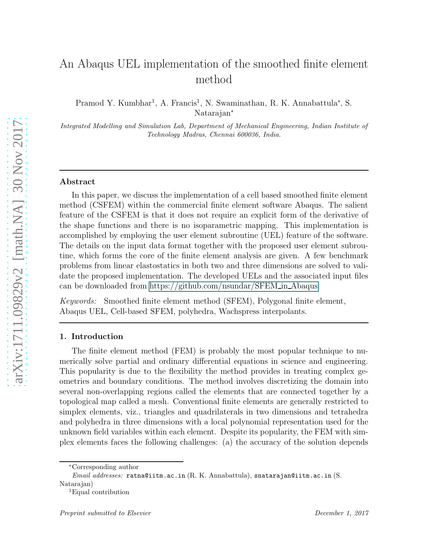# <span id="page-0-0"></span>An Abaqus UEL implementation of the smoothed finite element method

Pramod Y. Kumbhar<sup>1</sup>, A. Francis<sup>1</sup>, N. Swaminathan, R. K. Annabattula<sup>\*</sup>, S. Natarajan<sup>∗</sup>

*Integrated Modelling and Simulation Lab, Department of Mechanical Engineering, Indian Institute of Technology Madras, Chennai 600036, India.*

## Abstract

In this paper, we discuss the implementation of a cell based smoothed finite element method (CSFEM) within the commercial finite element software Abaqus. The salient feature of the CSFEM is that it does not require an explicit form of the derivative of the shape functions and there is no isoparametric mapping. This implementation is accomplished by employing the user element subroutine (UEL) feature of the software. The details on the input data format together with the proposed user element subroutine, which forms the core of the finite element analysis are given. A few benchmark problems from linear elastostatics in both two and three dimensions are solved to validate the proposed implementation. The developed UELs and the associated input files can be downloaded from https://github.com/nsundar/SFEM in Abaqus.

*Keywords:* Smoothed finite element method (SFEM), Polygonal finite element, Abaqus UEL, Cell-based SFEM, polyhedra, Wachspress interpolants.

## 1. Introduction

The finite element method (FEM) is probably the most popular technique to numerically solve partial and ordinary differential equations in science and engineering. This popularity is due to the flexibility the method provides in treating complex geometries and boundary conditions. The method involves discretizing the domain into several non-overlapping regions called the elements that are connected together by a topological map called a mesh. Conventional finite elements are generally restricted to simplex elements, viz., triangles and quadrilaterals in two dimensions and tetrahedra and polyhedra in three dimensions with a local polynomial representation used for the unknown field variables within each element. Despite its popularity, the FEM with simplex elements faces the following challenges: (a) the accuracy of the solution depends

<sup>∗</sup>Corresponding author

*Email addresses:* ratna@iitm.ac.in (R. K. Annabattula), snatarajan@iitm.ac.in (S. Natarajan)

<sup>1</sup>Equal contribution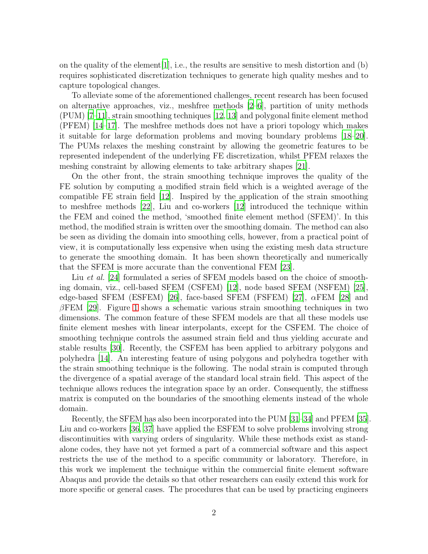on the quality of the element[\[1](#page-20-0)], i.e., the results are sensitive to mesh distortion and (b) requires sophisticated discretization techniques to generate high quality meshes and to capture topological changes.

To alleviate some of the aforementioned challenges, recent research has been focused on alternative approaches, viz., meshfree methods [\[2](#page-20-1)[–6](#page-20-2)], partition of unity methods (PUM) [\[7](#page-20-3)[–11](#page-20-4)], strain smoothing techniques [\[12,](#page-21-0) [13](#page-21-1)] and polygonal finite element method (PFEM) [\[14](#page-21-2)[–17\]](#page-21-3). The meshfree methods does not have a priori topology which makes it suitable for large deformation problems and moving boundary problems [\[18](#page-21-4)[–20\]](#page-21-5). The PUMs relaxes the meshing constraint by allowing the geometric features to be represented independent of the underlying FE discretization, whilst PFEM relaxes the meshing constraint by allowing elements to take arbitrary shapes [\[21\]](#page-21-6).

On the other front, the strain smoothing technique improves the quality of the FE solution by computing a modified strain field which is a weighted average of the compatible FE strain field [\[12](#page-21-0)]. Inspired by the application of the strain smoothing to meshfree methods [\[22](#page-21-7)], Liu and co-workers [\[12](#page-21-0)] introduced the technique within the FEM and coined the method, 'smoothed finite element method (SFEM)'. In this method, the modified strain is written over the smoothing domain. The method can also be seen as dividing the domain into smoothing cells, however, from a practical point of view, it is computationally less expensive when using the existing mesh data structure to generate the smoothing domain. It has been shown theoretically and numerically that the SFEM is more accurate than the conventional FEM [\[23](#page-21-8)].

Liu *et al.* [\[24](#page-21-9)] formulated a series of SFEM models based on the choice of smoothing domain, viz., cell-based SFEM (CSFEM) [\[12\]](#page-21-0), node based SFEM (NSFEM) [\[25](#page-22-0)], edge-based SFEM (ESFEM) [\[26](#page-22-1)], face-based SFEM (FSFEM) [\[27\]](#page-22-2),  $\alpha$ FEM [\[28](#page-22-3)] and  $\beta$ FEM [\[29\]](#page-22-4). Figure [1](#page-2-0) shows a schematic various strain smoothing techniques in two dimensions. The common feature of these SFEM models are that all these models use finite element meshes with linear interpolants, except for the CSFEM. The choice of smoothing technique controls the assumed strain field and thus yielding accurate and stable results [\[30](#page-22-5)]. Recently, the CSFEM has been applied to arbitrary polygons and polyhedra [\[14](#page-21-2)]. An interesting feature of using polygons and polyhedra together with the strain smoothing technique is the following. The nodal strain is computed through the divergence of a spatial average of the standard local strain field. This aspect of the technique allows reduces the integration space by an order. Consequently, the stiffness matrix is computed on the boundaries of the smoothing elements instead of the whole domain.

Recently, the SFEM has also been incorporated into the PUM [\[31](#page-22-6)[–34\]](#page-22-7) and PFEM [\[35\]](#page-22-8). Liu and co-workers [\[36](#page-23-0), [37\]](#page-23-1) have applied the ESFEM to solve problems involving strong discontinuities with varying orders of singularity. While these methods exist as standalone codes, they have not yet formed a part of a commercial software and this aspect restricts the use of the method to a specific community or laboratory. Therefore, in this work we implement the technique within the commercial finite element software Abaqus and provide the details so that other researchers can easily extend this work for more specific or general cases. The procedures that can be used by practicing engineers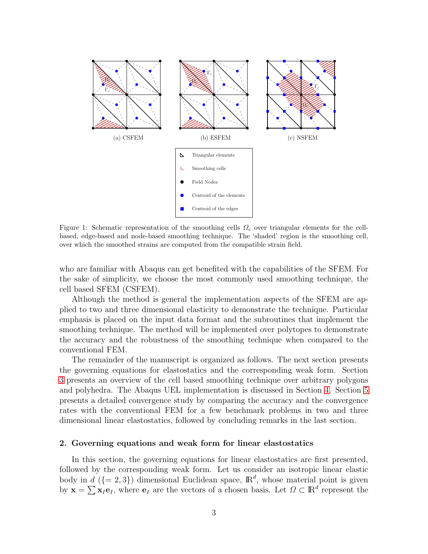<span id="page-2-0"></span>

Figure 1: Schematic representation of the smoothing cells  $\Omega_c$  over triangular elements for the cellbased, edge-based and node-based smoothing technique. The 'shaded' region is the smoothing cell, over which the smoothed strains are computed from the compatible strain field.

who are familiar with Abaqus can get benefited with the capabilities of the SFEM. For the sake of simplicity, we choose the most commonly used smoothing technique, the cell based SFEM (CSFEM).

Although the method is general the implementation aspects of the SFEM are applied to two and three dimensional elasticity to demonstrate the technique. Particular emphasis is placed on the input data format and the subroutines that implement the smoothing technique. The method will be implemented over polytopes to demonstrate the accuracy and the robustness of the smoothing technique when compared to the conventional FEM.

The remainder of the manuscript is organized as follows. The next section presents the governing equations for elastostatics and the corresponding weak form. Section [3](#page-4-0) presents an overview of the cell based smoothing technique over arbitrary polygons and polyhedra. The Abaqus UEL implementation is discussed in Section [4.](#page-7-0) Section [5](#page-10-0) presents a detailed convergence study by comparing the accuracy and the convergence rates with the conventional FEM for a few benchmark problems in two and three dimensional linear elastostatics, followed by concluding remarks in the last section.

#### 2. Governing equations and weak form for linear elastostatics

In this section, the governing equations for linear elastostatics are first presented, followed by the corresponding weak form. Let us consider an isotropic linear elastic body in  $d$  ({= 2,3}) dimensional Euclidean space,  $\mathbb{R}^d$ , whose material point is given by  $\mathbf{x} = \sum \mathbf{x}_I \mathbf{e}_I$ , where  $\mathbf{e}_I$  are the vectors of a chosen basis. Let  $\Omega \subset \mathbb{R}^d$  represent the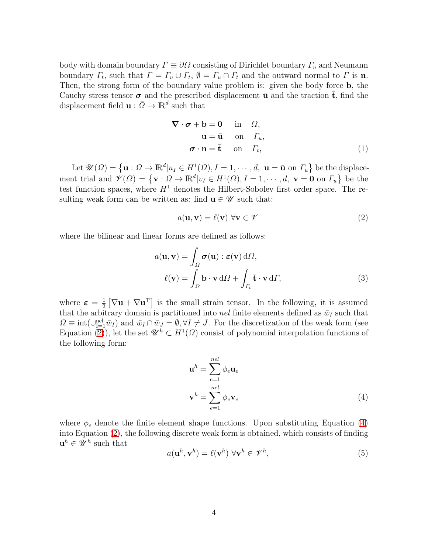body with domain boundary  $\Gamma \equiv \partial \Omega$  consisting of Dirichlet boundary  $\Gamma_u$  and Neumann boundary  $\Gamma_t$ , such that  $\Gamma = \Gamma_u \cup \Gamma_t$ ,  $\emptyset = \Gamma_u \cap \Gamma_t$  and the outward normal to  $\Gamma$  is **n**. Then, the strong form of the boundary value problem is: given the body force b, the Cauchy stress tensor  $\sigma$  and the prescribed displacement  $\bar{u}$  and the traction  $\bar{t}$ , find the displacement field  $\mathbf{u} : \bar{\Omega} \to \mathbb{R}^d$  such that

<span id="page-3-2"></span>
$$
\nabla \cdot \boldsymbol{\sigma} + \mathbf{b} = \mathbf{0} \quad \text{in} \quad \Omega,
$$
  
\n
$$
\mathbf{u} = \bar{\mathbf{u}} \quad \text{on} \quad \Gamma_u,
$$
  
\n
$$
\boldsymbol{\sigma} \cdot \mathbf{n} = \bar{\mathbf{t}} \quad \text{on} \quad \Gamma_t,
$$
 (1)

Let  $\mathscr{U}(\Omega) = {\mathbf{u} : \Omega \to \mathbb{R}^d | u_I \in H^1(\Omega), I = 1, \cdots, d, \mathbf{u} = \bar{\mathbf{u}} \text{ on } \Gamma_u }$  be the displacement trial and  $\mathscr{V}(\Omega) = \{ \mathbf{v} : \Omega \to \mathbb{R}^d | v_I \in H^1(\Omega), I = 1, \cdots, d, \mathbf{v} = \mathbf{0} \text{ on } \Gamma_u \}$  be the test function spaces, where  $H<sup>1</sup>$  denotes the Hilbert-Sobolev first order space. The resulting weak form can be written as: find  $\mathbf{u} \in \mathcal{U}$  such that:

<span id="page-3-0"></span>
$$
a(\mathbf{u}, \mathbf{v}) = \ell(\mathbf{v}) \,\forall \mathbf{v} \in \mathscr{V}
$$
\n(2)

where the bilinear and linear forms are defined as follows:

$$
a(\mathbf{u}, \mathbf{v}) = \int_{\Omega} \boldsymbol{\sigma}(\mathbf{u}) : \boldsymbol{\varepsilon}(\mathbf{v}) \, d\Omega,
$$
  

$$
\ell(\mathbf{v}) = \int_{\Omega} \mathbf{b} \cdot \mathbf{v} \, d\Omega + \int_{\Gamma_t} \bar{\mathbf{t}} \cdot \mathbf{v} \, d\Gamma,
$$
 (3)

where  $\varepsilon = \frac{1}{2}$  $\frac{1}{2} [\nabla \mathbf{u} + \nabla \mathbf{u}^{\mathrm{T}}]$  is the small strain tensor. In the following, it is assumed that the arbitrary domain is partitioned into nel finite elements defined as  $\bar{w}_I$  such that  $\Omega \equiv \text{int}(\cup_{I=1}^{\text{nel}} \bar{w}_I)$  and  $\bar{w}_I \cap \bar{w}_J = \emptyset, \forall I \neq J$ . For the discretization of the weak form (see Equation [\(2\)](#page-3-0)), let the set  $\mathscr{U}^h \subset H^1(\Omega)$  consist of polynomial interpolation functions of the following form:

<span id="page-3-1"></span>
$$
\mathbf{u}^{h} = \sum_{e=1}^{nel} \phi_e \mathbf{u}_e
$$
  

$$
\mathbf{v}^{h} = \sum_{e=1}^{nel} \phi_e \mathbf{v}_e
$$
 (4)

where  $\phi_e$  denote the finite element shape functions. Upon substituting Equation [\(4\)](#page-3-1) into Equation [\(2\)](#page-3-0), the following discrete weak form is obtained, which consists of finding  $\mathbf{u}^h \in \mathscr{U}^h$  such that

$$
a(\mathbf{u}^h, \mathbf{v}^h) = \ell(\mathbf{v}^h) \,\forall \mathbf{v}^h \in \mathcal{V}^h,\tag{5}
$$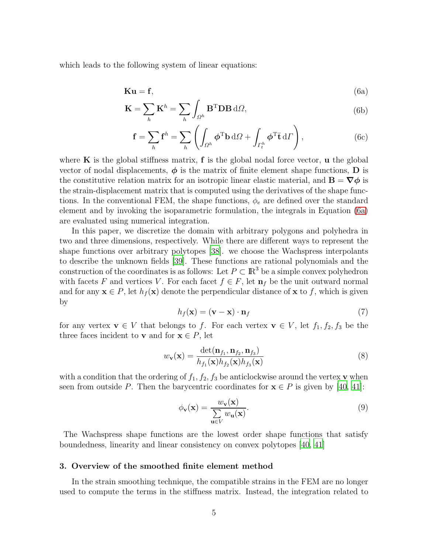which leads to the following system of linear equations:

$$
Ku = f, \t\t(6a)
$$

$$
\mathbf{K} = \sum_{h} \mathbf{K}^{h} = \sum_{h} \int_{\Omega^{h}} \mathbf{B}^{\mathrm{T}} \mathbf{D} \mathbf{B} \, d\Omega, \tag{6b}
$$

<span id="page-4-1"></span>
$$
\mathbf{f} = \sum_{h} \mathbf{f}^{h} = \sum_{h} \left( \int_{\Omega^{h}} \boldsymbol{\phi}^{T} \mathbf{b} \, d\Omega + \int_{\Gamma_{t}^{h}} \boldsymbol{\phi}^{T} \mathbf{\bar{t}} \, d\Gamma \right), \tag{6c}
$$

where  $\bf{K}$  is the global stiffness matrix,  $\bf{f}$  is the global nodal force vector,  $\bf{u}$  the global vector of nodal displacements,  $\phi$  is the matrix of finite element shape functions, D is the constitutive relation matrix for an isotropic linear elastic material, and  $\mathbf{B} = \nabla \phi$  is the strain-displacement matrix that is computed using the derivatives of the shape functions. In the conventional FEM, the shape functions,  $\phi_e$  are defined over the standard element and by invoking the isoparametric formulation, the integrals in Equation [\(6a\)](#page-4-1) are evaluated using numerical integration.

In this paper, we discretize the domain with arbitrary polygons and polyhedra in two and three dimensions, respectively. While there are different ways to represent the shape functions over arbitrary polytopes [\[38\]](#page-23-2). we choose the Wachspress interpolants to describe the unknown fields [\[39](#page-23-3)]. These functions are rational polynomials and the construction of the coordinates is as follows: Let  $P \subset \mathbb{R}^3$  be a simple convex polyhedron with facets F and vertices V. For each facet  $f \in F$ , let  $\mathbf{n}_f$  be the unit outward normal and for any  $\mathbf{x} \in P$ , let  $h_f(\mathbf{x})$  denote the perpendicular distance of  $\mathbf{x}$  to f, which is given by

$$
h_f(\mathbf{x}) = (\mathbf{v} - \mathbf{x}) \cdot \mathbf{n}_f \tag{7}
$$

for any vertex  $\mathbf{v} \in V$  that belongs to f. For each vertex  $\mathbf{v} \in V$ , let  $f_1, f_2, f_3$  be the three faces incident to **v** and for  $x \in P$ , let

$$
w_{\mathbf{v}}(\mathbf{x}) = \frac{\det(\mathbf{n}_{f_1}, \mathbf{n}_{f_2}, \mathbf{n}_{f_3})}{h_{f_1}(\mathbf{x})h_{f_2}(\mathbf{x})h_{f_3}(\mathbf{x})}
$$
(8)

with a condition that the ordering of  $f_1, f_2, f_3$  be anticlockwise around the vertex **v** when seen from outside P. Then the barycentric coordinates for  $\mathbf{x} \in P$  is given by [\[40](#page-23-4), [41](#page-23-5)]:

$$
\phi_{\mathbf{v}}(\mathbf{x}) = \frac{w_{\mathbf{v}}(\mathbf{x})}{\sum_{\mathbf{u} \in V} w_{\mathbf{u}}(\mathbf{x})}.
$$
\n(9)

The Wachspress shape functions are the lowest order shape functions that satisfy boundedness, linearity and linear consistency on convex polytopes [\[40,](#page-23-4) [41\]](#page-23-5)

#### <span id="page-4-0"></span>3. Overview of the smoothed finite element method

In the strain smoothing technique, the compatible strains in the FEM are no longer used to compute the terms in the stiffness matrix. Instead, the integration related to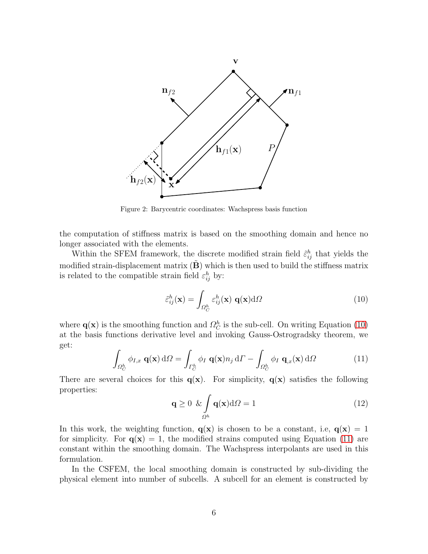

Figure 2: Barycentric coordinates: Wachspress basis function

the computation of stiffness matrix is based on the smoothing domain and hence no longer associated with the elements.

Within the SFEM framework, the discrete modified strain field  $\tilde{\varepsilon}_{ij}^h$  that yields the modified strain-displacement matrix  $(\tilde{\mathbf{B}})$  which is then used to build the stiffness matrix is related to the compatible strain field  $\varepsilon_{ij}^h$  by:

<span id="page-5-0"></span>
$$
\tilde{\varepsilon}_{ij}^h(\mathbf{x}) = \int_{\Omega_C^h} \varepsilon_{ij}^h(\mathbf{x}) \mathbf{q}(\mathbf{x}) d\Omega \tag{10}
$$

where  $\mathbf{q}(\mathbf{x})$  is the smoothing function and  $\Omega_C^h$  is the sub-cell. On writing Equation [\(10\)](#page-5-0) at the basis functions derivative level and invoking Gauss-Ostrogradsky theorem, we get:

<span id="page-5-1"></span>
$$
\int_{\Omega_C^h} \phi_{I,x} \mathbf{q}(\mathbf{x}) d\Omega = \int_{\Gamma_C^h} \phi_I \mathbf{q}(\mathbf{x}) n_j d\Gamma - \int_{\Omega_C^h} \phi_I \mathbf{q}_{,x}(\mathbf{x}) d\Omega \tag{11}
$$

There are several choices for this  $q(x)$ . For simplicity,  $q(x)$  satisfies the following properties:

$$
\mathbf{q} \ge 0 \ \& \int_{\Omega^h} \mathbf{q}(\mathbf{x}) \mathrm{d}\Omega = 1 \tag{12}
$$

In this work, the weighting function,  $q(x)$  is chosen to be a constant, i.e,  $q(x) = 1$ for simplicity. For  $q(x) = 1$ , the modified strains computed using Equation [\(11\)](#page-5-1) are constant within the smoothing domain. The Wachspress interpolants are used in this formulation.

In the CSFEM, the local smoothing domain is constructed by sub-dividing the physical element into number of subcells. A subcell for an element is constructed by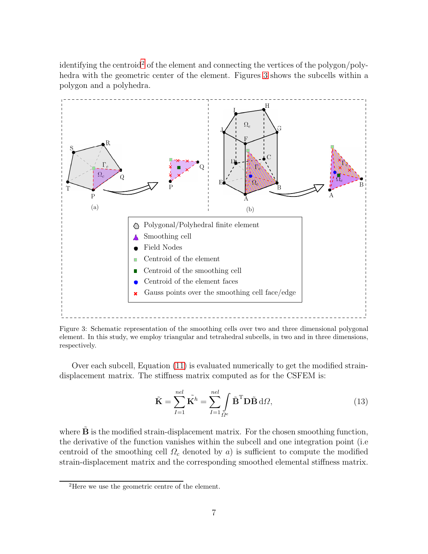identifying the centroid<sup>[2](#page-6-0)</sup> of the element and connecting the vertices of the polygon/polyhedra with the geometric center of the element. Figures [3](#page-6-1) shows the subcells within a polygon and a polyhedra.

<span id="page-6-1"></span>

Figure 3: Schematic representation of the smoothing cells over two and three dimensional polygonal element. In this study, we employ triangular and tetrahedral subcells, in two and in three dimensions, respectively.

Over each subcell, Equation [\(11\)](#page-5-1) is evaluated numerically to get the modified straindisplacement matrix. The stiffness matrix computed as for the CSFEM is:

<span id="page-6-2"></span>
$$
\tilde{\mathbf{K}} = \sum_{I=1}^{nel} \tilde{\mathbf{K}}^h = \sum_{I=1}^{nel} \int_{\Omega^e} \tilde{\mathbf{B}}^{\mathrm{T}} \mathbf{D} \tilde{\mathbf{B}} \, \mathrm{d}\Omega,\tag{13}
$$

where  $\bf{B}$  is the modified strain-displacement matrix. For the chosen smoothing function, the derivative of the function vanishes within the subcell and one integration point (i.e centroid of the smoothing cell  $\Omega_c$  denoted by a) is sufficient to compute the modified strain-displacement matrix and the corresponding smoothed elemental stiffness matrix.

<span id="page-6-0"></span><sup>&</sup>lt;sup>2</sup>Here we use the geometric centre of the element.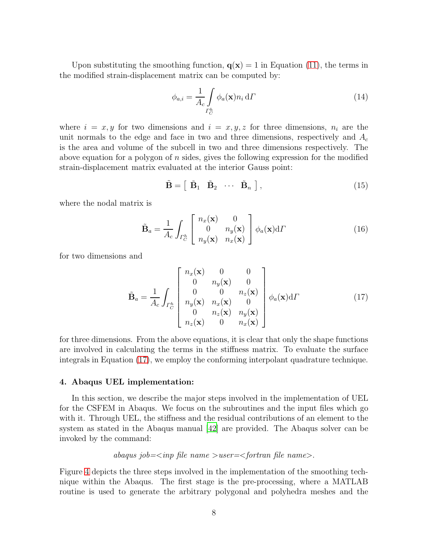Upon substituting the smoothing function,  $q(x) = 1$  in Equation [\(11\)](#page-5-1), the terms in the modified strain-displacement matrix can be computed by:

$$
\phi_{a,i} = \frac{1}{A_c} \int_{\Gamma_C^h} \phi_a(\mathbf{x}) n_i \, d\Gamma \tag{14}
$$

where  $i = x, y$  for two dimensions and  $i = x, y, z$  for three dimensions,  $n_i$  are the unit normals to the edge and face in two and three dimensions, respectively and  $A_c$ is the area and volume of the subcell in two and three dimensions respectively. The above equation for a polygon of n sides, gives the following expression for the modified strain-displacement matrix evaluated at the interior Gauss point:

<span id="page-7-2"></span>
$$
\tilde{\mathbf{B}} = \left[ \begin{array}{cccc} \tilde{\mathbf{B}}_1 & \tilde{\mathbf{B}}_2 & \cdots & \tilde{\mathbf{B}}_n \end{array} \right],\tag{15}
$$

where the nodal matrix is

$$
\tilde{\mathbf{B}}_a = \frac{1}{A_c} \int_{\Gamma_C^h} \begin{bmatrix} n_x(\mathbf{x}) & 0\\ 0 & n_y(\mathbf{x})\\ n_y(\mathbf{x}) & n_x(\mathbf{x}) \end{bmatrix} \phi_a(\mathbf{x}) d\Gamma
$$
\n(16)

for two dimensions and

<span id="page-7-1"></span>
$$
\tilde{\mathbf{B}}_a = \frac{1}{A_c} \int_{\Gamma_C^h} \begin{bmatrix} n_x(\mathbf{x}) & 0 & 0 \\ 0 & n_y(\mathbf{x}) & 0 \\ 0 & 0 & n_z(\mathbf{x}) \\ n_y(\mathbf{x}) & n_x(\mathbf{x}) & 0 \\ 0 & n_z(\mathbf{x}) & n_y(\mathbf{x}) \\ n_z(\mathbf{x}) & 0 & n_x(\mathbf{x}) \end{bmatrix} \phi_a(\mathbf{x}) d\Gamma
$$
(17)

for three dimensions. From the above equations, it is clear that only the shape functions are involved in calculating the terms in the stiffness matrix. To evaluate the surface integrals in Equation [\(17\)](#page-7-1), we employ the conforming interpolant quadrature technique.

#### <span id="page-7-0"></span>4. Abaqus UEL implementation:

In this section, we describe the major steps involved in the implementation of UEL for the CSFEM in Abaqus. We focus on the subroutines and the input files which go with it. Through UEL, the stiffness and the residual contributions of an element to the system as stated in the Abaqus manual [\[42\]](#page-23-6) are provided. The Abaqus solver can be invoked by the command:

# *abaqus job=*<*inp file name* >*user=*<*fortran file name*>.

Figure [4](#page-8-0) depicts the three steps involved in the implementation of the smoothing technique within the Abaqus. The first stage is the pre-processing, where a MATLAB routine is used to generate the arbitrary polygonal and polyhedra meshes and the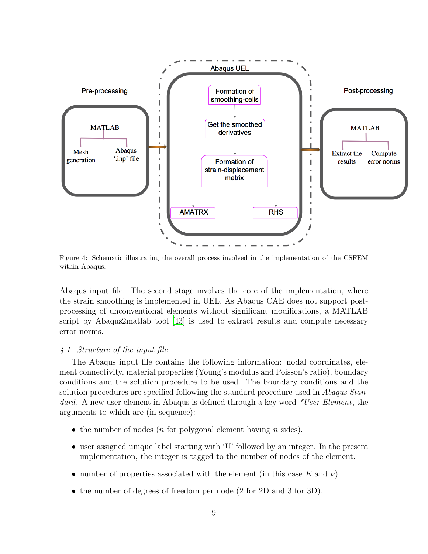<span id="page-8-0"></span>

Figure 4: Schematic illustrating the overall process involved in the implementation of the CSFEM within Abaqus.

Abaqus input file. The second stage involves the core of the implementation, where the strain smoothing is implemented in UEL. As Abaqus CAE does not support postprocessing of unconventional elements without significant modifications, a MATLAB script by Abaqus2matlab tool [\[43\]](#page-23-7) is used to extract results and compute necessary error norms.

# *4.1. Structure of the input file*

The Abaqus input file contains the following information: nodal coordinates, element connectivity, material properties (Young's modulus and Poisson's ratio), boundary conditions and the solution procedure to be used. The boundary conditions and the solution procedures are specified following the standard procedure used in *Abaqus Standard*. A new user element in Abaqus is defined through a key word *\*User Element*, the arguments to which are (in sequence):

- the number of nodes (*n* for polygonal element having *n* sides).
- user assigned unique label starting with 'U' followed by an integer. In the present implementation, the integer is tagged to the number of nodes of the element.
- number of properties associated with the element (in this case E and  $\nu$ ).
- the number of degrees of freedom per node (2 for 2D and 3 for 3D).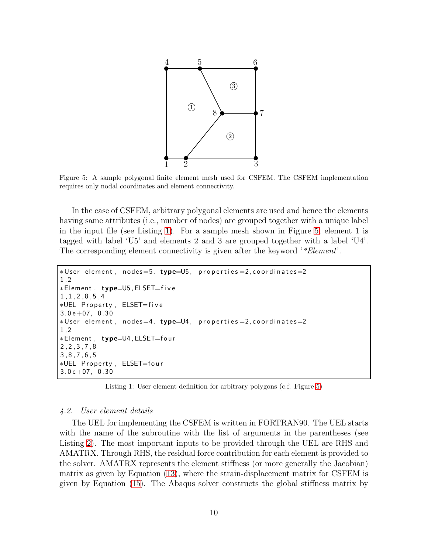<span id="page-9-1"></span>

Figure 5: A sample polygonal finite element mesh used for CSFEM. The CSFEM implementation requires only nodal coordinates and element connectivity.

In the case of CSFEM, arbitrary polygonal elements are used and hence the elements having same attributes (i.e., number of nodes) are grouped together with a unique label in the input file (see Listing [1\)](#page-9-0). For a sample mesh shown in Figure [5,](#page-9-1) element 1 is tagged with label 'U5' and elements 2 and 3 are grouped together with a label 'U4'. The corresponding element connectivity is given after the keyword '*\*Element*'.

```
*User element, nodes=5, type=U5, properties=2, coordinates=2
1 , 2
∗Element , type=U5 , ELSET= f i v e
1 , 1 , 2 , 8 , 5 , 4
∗UEL P r o p e r t y , ELSET= f i v e
3.0 e + 07, 0.30∗User element, nodes=4, type=U4, properties=2, coordinates=2
1 , 2
∗Element , type=U4 , ELSET=f o u r
2 , 2 , 3 , 7 , 8
3 , 8 , 7 , 6 , 5
∗UEL P r o p e r t y , ELSET=f o u r
3.0 e + 07, 0.30
```
Listing 1: User element definition for arbitrary polygons (c.f. Figure [5\)](#page-9-1)

#### *4.2. User element details*

The UEL for implementing the CSFEM is written in FORTRAN90. The UEL starts with the name of the subroutine with the list of arguments in the parentheses (see Listing [2\)](#page-10-1). The most important inputs to be provided through the UEL are RHS and AMATRX. Through RHS, the residual force contribution for each element is provided to the solver. AMATRX represents the element stiffness (or more generally the Jacobian) matrix as given by Equation [\(13\)](#page-6-2), where the strain-displacement matrix for CSFEM is given by Equation [\(15\)](#page-7-2). The Abaqus solver constructs the global stiffness matrix by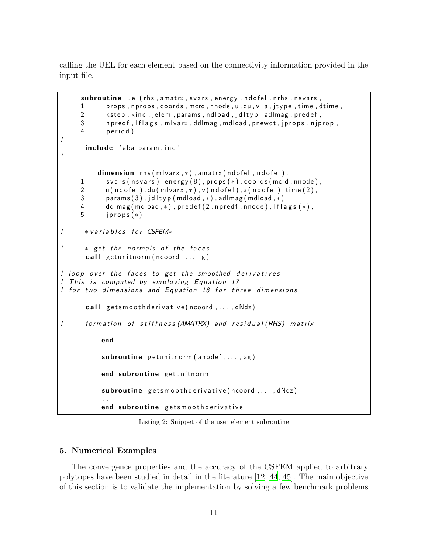calling the UEL for each element based on the connectivity information provided in the input file.

```
subroutine uel (rhs, amatrx, svars, energy, ndofel, nrhs, nsvars,
      1 props, nprops, coords, mcrd, nnode, u, du, v, a, jtype, time, dtime,
      2 kstep, kinc, jelem, params, ndload, jdltyp, adlmag, predef,
      3 n p r e d f , I f l a g s , m l v a r x , ddlmag , m d load , p new d t , j p r o p , nj p r o p ,
      4 period)
!
       include 'aba_param.inc'
!
            dimension r h s (m|var x , * ), amatrx (ndofel, ndofel),
      svars (nsvars), energy (8), props (*), coords (mcrd, nnode),<br>2 (ultudofel). du (mlyarx . *). v (ndofel). a (ndofel). time (2).
      u ( n d o f e l ) , du ( m l v a r x , ∗ ) , v ( n d o f e l ) , a ( n d o f e l ) , time ( 2 ) ,<br>3 corams ( 3 ) . i d l t v p ( m d lo a d . ∗ ) . a d l m a g ( m d lo a d . ∗ ) .
      3 params (3), jdltyp (mdload ,*), adlmag (mdload ,*),<br>4 ddlmag (mdload .*). predef (2. npredf . nnode). If la
      4 ddlmag (mdload , ∗), predef (2, npredf, nnode), lflags ( ∗),<br>5 iprops ( ∗ )
              j p r o p s (*)! * variables for CSFEM*
! * get the normals of the faces
        call getunitnorm (ncoord, ..., g)
! loop over the faces to get the smoothed derivatives
! This is computed by employing Equation 17
! for two dimensions and Equation 18 for three dimensions
        call getsmoothderivative (ncoord, ..., dNdz)
! form ation of stiffness (AMATRX) and residual (RHS) matrix
             end
             subroutine getunit norm (anodef, ..., ag)
             . . .
             end subroutine getunitnorm
             subroutine getsmoothderivative (ncoord, ..., dNdz)
             . . .
             end subroutine getsmoothderivative
```
Listing 2: Snippet of the user element subroutine

# <span id="page-10-0"></span>5. Numerical Examples

The convergence properties and the accuracy of the CSFEM applied to arbitrary polytopes have been studied in detail in the literature [\[12,](#page-21-0) [44,](#page-23-8) [45](#page-23-9)]. The main objective of this section is to validate the implementation by solving a few benchmark problems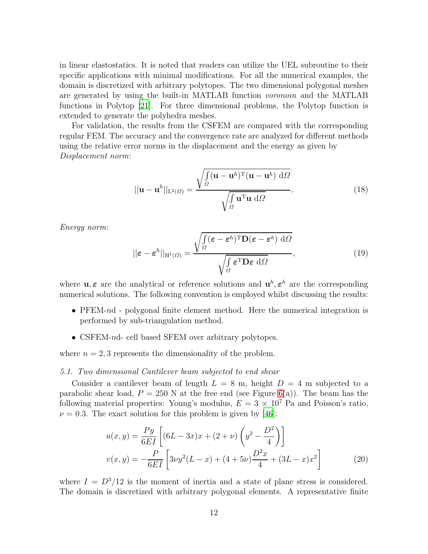in linear elastostatics. It is noted that readers can utilize the UEL subroutine to their specific applications with minimal modifications. For all the numerical examples, the domain is discretized with arbitrary polytopes. The two dimensional polygonal meshes are generated by using the built-in MATLAB function *voronoin* and the MATLAB functions in Polytop [\[21\]](#page-21-6). For three dimensional problems, the Polytop function is extended to generate the polyhedra meshes.

For validation, the results from the CSFEM are compared with the corresponding regular FEM. The accuracy and the convergence rate are analyzed for different methods using the relative error norms in the displacement and the energy as given by *Displacement norm*:

$$
||\mathbf{u} - \mathbf{u}^{h}||_{\mathcal{L}^{2}(\Omega)} = \frac{\sqrt{\int_{\Omega} (\mathbf{u} - \mathbf{u}^{h})^{\mathrm{T}} (\mathbf{u} - \mathbf{u}^{h}) \, d\Omega}}{\sqrt{\int_{\Omega} \mathbf{u}^{\mathrm{T}} \mathbf{u} \, d\Omega}},
$$
(18)

*Energy norm*:

$$
||\boldsymbol{\varepsilon} - \boldsymbol{\varepsilon}^h||_{\mathcal{H}^1(\Omega)} = \frac{\sqrt{\int_{\Omega} (\boldsymbol{\varepsilon} - \boldsymbol{\varepsilon}^h)^{\mathrm{T}} \mathbf{D}(\boldsymbol{\varepsilon} - \boldsymbol{\varepsilon}^h) \, \mathrm{d}\Omega}}{\sqrt{\int_{\Omega} \boldsymbol{\varepsilon}^{\mathrm{T}} \mathbf{D} \boldsymbol{\varepsilon} \, \mathrm{d}\Omega}},\tag{19}
$$

where  $\mathbf{u}, \boldsymbol{\varepsilon}$  are the analytical or reference solutions and  $\mathbf{u}^h, \boldsymbol{\varepsilon}^h$  are the corresponding numerical solutions. The following convention is employed whilst discussing the results:

- PFEM-nd polygonal finite element method. Here the numerical integration is performed by sub-triangulation method.
- CSFEM-nd- cell based SFEM over arbitrary polytopes.

where  $n = 2, 3$  represents the dimensionality of the problem.

#### *5.1. Two dimensional Cantilever beam subjected to end shear*

Consider a cantilever beam of length  $L = 8$  m, height  $D = 4$  m subjected to a parabolic shear load,  $P = 250$  N at the free end (see Figure [6\(](#page-12-0)a)). The beam has the following material properties: Young's modulus,  $E = 3 \times 10^7$  Pa and Poisson's ratio,  $\nu = 0.3$ . The exact solution for this problem is given by [\[46](#page-23-10)]:

$$
u(x,y) = \frac{Py}{6EI} \left[ (6L - 3x)x + (2 + \nu) \left( y^2 - \frac{D^2}{4} \right) \right]
$$
  

$$
v(x,y) = -\frac{P}{6EI} \left[ 3\nu y^2 (L - x) + (4 + 5\nu) \frac{D^2 x}{4} + (3L - x)x^2 \right]
$$
 (20)

where  $I = D<sup>3</sup>/12$  is the moment of inertia and a state of plane stress is considered. The domain is discretized with arbitrary polygonal elements. A representative finite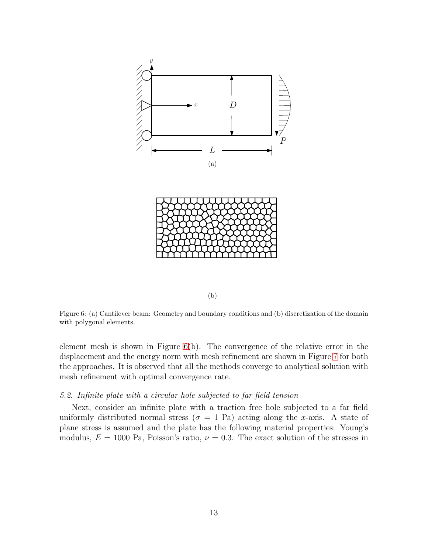<span id="page-12-0"></span>



Figure 6: (a) Cantilever beam: Geometry and boundary conditions and (b) discretization of the domain with polygonal elements.

element mesh is shown in Figure [6\(](#page-12-0)b). The convergence of the relative error in the displacement and the energy norm with mesh refinement are shown in Figure [7](#page-13-0) for both the approaches. It is observed that all the methods converge to analytical solution with mesh refinement with optimal convergence rate.

#### *5.2. Infinite plate with a circular hole subjected to far field tension*

Next, consider an infinite plate with a traction free hole subjected to a far field uniformly distributed normal stress ( $\sigma = 1$  Pa) acting along the x-axis. A state of plane stress is assumed and the plate has the following material properties: Young's modulus,  $E = 1000$  Pa, Poisson's ratio,  $\nu = 0.3$ . The exact solution of the stresses in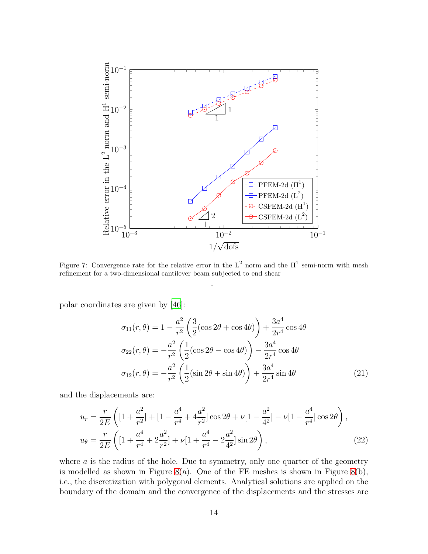<span id="page-13-0"></span>

Figure 7: Convergence rate for the relative error in the  $L^2$  norm and the  $H^1$  semi-norm with mesh refinement for a two-dimensional cantilever beam subjected to end shear

.

polar coordinates are given by [\[46\]](#page-23-10):

$$
\sigma_{11}(r,\theta) = 1 - \frac{a^2}{r^2} \left( \frac{3}{2} (\cos 2\theta + \cos 4\theta) \right) + \frac{3a^4}{2r^4} \cos 4\theta
$$
  

$$
\sigma_{22}(r,\theta) = -\frac{a^2}{r^2} \left( \frac{1}{2} (\cos 2\theta - \cos 4\theta) \right) - \frac{3a^4}{2r^4} \cos 4\theta
$$
  

$$
\sigma_{12}(r,\theta) = -\frac{a^2}{r^2} \left( \frac{1}{2} (\sin 2\theta + \sin 4\theta) \right) + \frac{3a^4}{2r^4} \sin 4\theta
$$
 (21)

and the displacements are:

$$
u_r = \frac{r}{2E} \left( \left[ 1 + \frac{a^2}{r^2} \right] + \left[ 1 - \frac{a^4}{r^4} + 4\frac{a^2}{r^2} \right] \cos 2\theta + \nu \left[ 1 - \frac{a^2}{4^2} \right] - \nu \left[ 1 - \frac{a^4}{r^4} \right] \cos 2\theta \right),
$$
  
\n
$$
u_{\theta} = \frac{r}{2E} \left( \left[ 1 + \frac{a^4}{r^4} + 2\frac{a^2}{r^2} \right] + \nu \left[ 1 + \frac{a^4}{r^4} - 2\frac{a^2}{4^2} \right] \sin 2\theta \right),
$$
\n(22)

where  $\alpha$  is the radius of the hole. Due to symmetry, only one quarter of the geometry is modelled as shown in Figure [8\(](#page-14-0)a). One of the FE meshes is shown in Figure 8(b), i.e., the discretization with polygonal elements. Analytical solutions are applied on the boundary of the domain and the convergence of the displacements and the stresses are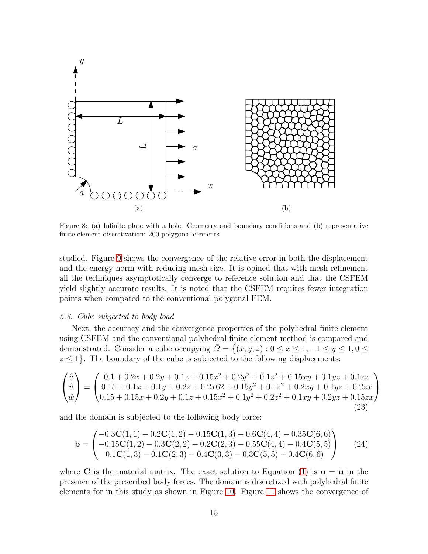<span id="page-14-0"></span>

Figure 8: (a) Infinite plate with a hole: Geometry and boundary conditions and (b) representative finite element discretization: 200 polygonal elements.

studied. Figure [9](#page-15-0) shows the convergence of the relative error in both the displacement and the energy norm with reducing mesh size. It is opined that with mesh refinement all the techniques asymptotically converge to reference solution and that the CSFEM yield slightly accurate results. It is noted that the CSFEM requires fewer integration points when compared to the conventional polygonal FEM.

#### *5.3. Cube subjected to body load*

Next, the accuracy and the convergence properties of the polyhedral finite element using CSFEM and the conventional polyhedral finite element method is compared and demonstrated. Consider a cube occupying  $\overline{\Omega} = \{(x, y, z) : 0 \le x \le 1, -1 \le y \le 1, 0 \le z \le 1\}$  $z \leq 1$ . The boundary of the cube is subjected to the following displacements:

$$
\begin{pmatrix}\n\hat{u} \\
\hat{v} \\
\hat{w}\n\end{pmatrix} = \begin{pmatrix}\n0.1 + 0.2x + 0.2y + 0.1z + 0.15x^2 + 0.2y^2 + 0.1z^2 + 0.15xy + 0.1yz + 0.1zx \\
0.15 + 0.1x + 0.1y + 0.2z + 0.2x62 + 0.15y^2 + 0.1z^2 + 0.2xy + 0.1yz + 0.2zx \\
0.15 + 0.15x + 0.2y + 0.1z + 0.15x^2 + 0.1y^2 + 0.2z^2 + 0.1xy + 0.2yz + 0.15zx\n\end{pmatrix}
$$
\n(23)

and the domain is subjected to the following body force:

$$
\mathbf{b} = \begin{pmatrix} -0.3\mathbf{C}(1,1) - 0.2\mathbf{C}(1,2) - 0.15\mathbf{C}(1,3) - 0.6\mathbf{C}(4,4) - 0.35\mathbf{C}(6,6) \\ -0.15\mathbf{C}(1,2) - 0.3\mathbf{C}(2,2) - 0.2\mathbf{C}(2,3) - 0.55\mathbf{C}(4,4) - 0.4\mathbf{C}(5,5) \\ 0.1\mathbf{C}(1,3) - 0.1\mathbf{C}(2,3) - 0.4\mathbf{C}(3,3) - 0.3\mathbf{C}(5,5) - 0.4\mathbf{C}(6,6) \end{pmatrix}
$$
 (24)

where C is the material matrix. The exact solution to Equation [\(1\)](#page-3-2) is  $u = \hat{u}$  in the presence of the prescribed body forces. The domain is discretized with polyhedral finite elements for in this study as shown in Figure [10.](#page-16-0) Figure [11](#page-17-0) shows the convergence of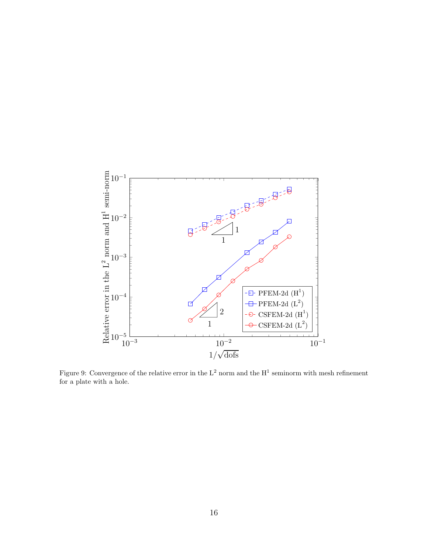<span id="page-15-0"></span>

Figure 9: Convergence of the relative error in the  $L^2$  norm and the  $H^1$  seminorm with mesh refinement for a plate with a hole.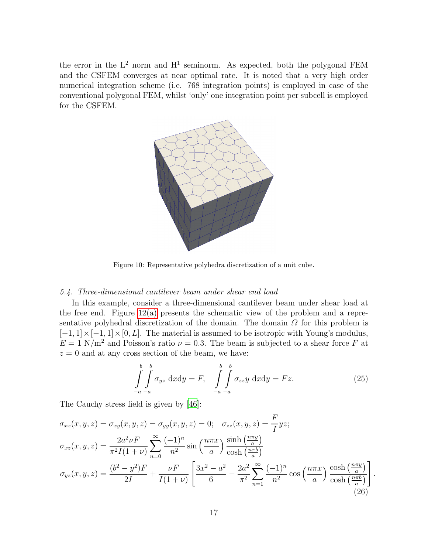<span id="page-16-0"></span>the error in the  $L^2$  norm and  $H^1$  seminorm. As expected, both the polygonal FEM and the CSFEM converges at near optimal rate. It is noted that a very high order numerical integration scheme (i.e. 768 integration points) is employed in case of the conventional polygonal FEM, whilst 'only' one integration point per subcell is employed for the CSFEM.



Figure 10: Representative polyhedra discretization of a unit cube.

## *5.4. Three-dimensional cantilever beam under shear end load*

In this example, consider a three-dimensional cantilever beam under shear load at the free end. Figure [12\(a\)](#page-17-1) presents the schematic view of the problem and a representative polyhedral discretization of the domain. The domain  $\Omega$  for this problem is  $[-1, 1] \times [-1, 1] \times [0, L]$ . The material is assumed to be isotropic with Young's modulus,  $E = 1$  N/m<sup>2</sup> and Poisson's ratio  $\nu = 0.3$ . The beam is subjected to a shear force F at  $z = 0$  and at any cross section of the beam, we have:

$$
\int_{-a}^{b} \int_{-a}^{b} \sigma_{yz} \, dx dy = F, \quad \int_{-a}^{b} \int_{-a}^{b} \sigma_{zz} y \, dx dy = Fz.
$$
 (25)

The Cauchy stress field is given by [\[46\]](#page-23-10):

$$
\sigma_{xx}(x, y, z) = \sigma_{xy}(x, y, z) = \sigma_{yy}(x, y, z) = 0; \quad \sigma_{zz}(x, y, z) = \frac{F}{I}yz;
$$
  
\n
$$
\sigma_{xz}(x, y, z) = \frac{2a^2\nu F}{\pi^2 I(1 + \nu)} \sum_{n=0}^{\infty} \frac{(-1)^n}{n^2} \sin\left(\frac{n\pi x}{a}\right) \frac{\sinh\left(\frac{n\pi y}{a}\right)}{\cosh\left(\frac{n\pi b}{a}\right)}
$$
  
\n
$$
\sigma_{yz}(x, y, z) = \frac{(b^2 - y^2)F}{2I} + \frac{\nu F}{I(1 + \nu)} \left[ \frac{3x^2 - a^2}{6} - \frac{2a^2}{\pi^2} \sum_{n=1}^{\infty} \frac{(-1)^n}{n^2} \cos\left(\frac{n\pi x}{a}\right) \frac{\cosh\left(\frac{n\pi y}{a}\right)}{\cosh\left(\frac{n\pi b}{a}\right)} \right].
$$
\n(26)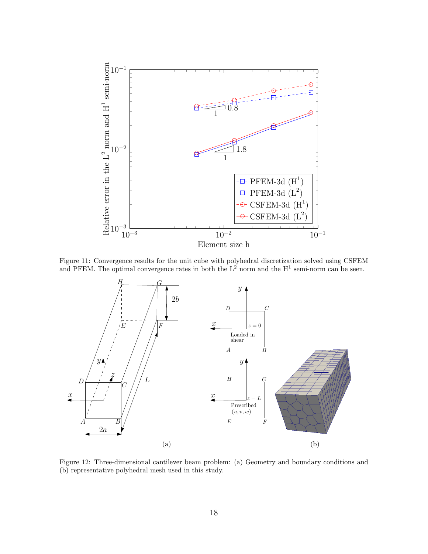<span id="page-17-0"></span>

Figure 11: Convergence results for the unit cube with polyhedral discretization solved using CSFEM and PFEM. The optimal convergence rates in both the  $L^2$  norm and the H<sup>1</sup> semi-norm can be seen.

<span id="page-17-1"></span>

Figure 12: Three-dimensional cantilever beam problem: (a) Geometry and boundary conditions and (b) representative polyhedral mesh used in this study.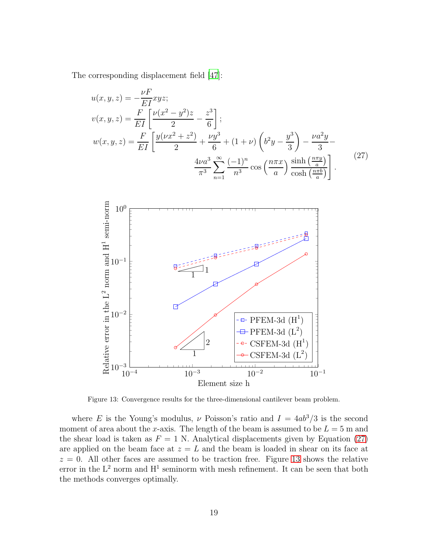The corresponding displacement field [\[47](#page-23-11)]:

$$
u(x, y, z) = -\frac{\nu F}{EI} xyz;
$$
  
\n
$$
v(x, y, z) = \frac{F}{EI} \left[ \frac{\nu(x^2 - y^2)z}{2} - \frac{z^3}{6} \right];
$$
  
\n
$$
w(x, y, z) = \frac{F}{EI} \left[ \frac{y(\nu x^2 + z^2)}{2} + \frac{\nu y^3}{6} + (1 + \nu) \left( b^2 y - \frac{y^3}{3} \right) - \frac{\nu a^2 y}{3} - \frac{y^3}{3} \right]
$$
  
\n
$$
\frac{4\nu a^3}{\pi^3} \sum_{n=1}^{\infty} \frac{(-1)^n}{n^3} \cos\left(\frac{n\pi x}{a}\right) \frac{\sinh\left(\frac{n\pi y}{a}\right)}{\cosh\left(\frac{n\pi b}{a}\right)} \right].
$$
\n(27)

<span id="page-18-1"></span><span id="page-18-0"></span>

Figure 13: Convergence results for the three-dimensional cantilever beam problem.

where E is the Young's modulus,  $\nu$  Poisson's ratio and  $I = 4ab^3/3$  is the second moment of area about the x-axis. The length of the beam is assumed to be  $L = 5$  m and the shear load is taken as  $F = 1$  N. Analytical displacements given by Equation [\(27\)](#page-18-0) are applied on the beam face at  $z = L$  and the beam is loaded in shear on its face at  $z = 0$ . All other faces are assumed to be traction free. Figure [13](#page-18-1) shows the relative error in the  $L^2$  norm and  $H^1$  seminorm with mesh refinement. It can be seen that both the methods converges optimally.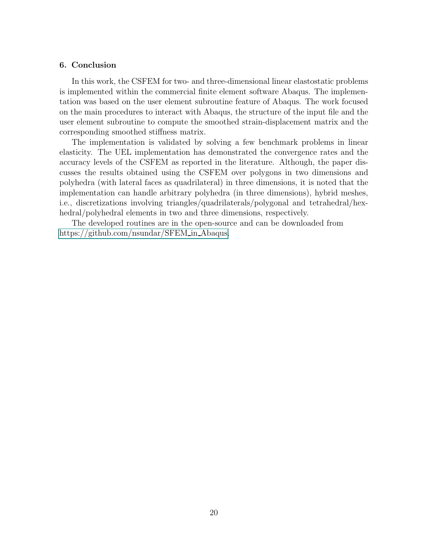## 6. Conclusion

In this work, the CSFEM for two- and three-dimensional linear elastostatic problems is implemented within the commercial finite element software Abaqus. The implementation was based on the user element subroutine feature of Abaqus. The work focused on the main procedures to interact with Abaqus, the structure of the input file and the user element subroutine to compute the smoothed strain-displacement matrix and the corresponding smoothed stiffness matrix.

The implementation is validated by solving a few benchmark problems in linear elasticity. The UEL implementation has demonstrated the convergence rates and the accuracy levels of the CSFEM as reported in the literature. Although, the paper discusses the results obtained using the CSFEM over polygons in two dimensions and polyhedra (with lateral faces as quadrilateral) in three dimensions, it is noted that the implementation can handle arbitrary polyhedra (in three dimensions), hybrid meshes, i.e., discretizations involving triangles/quadrilaterals/polygonal and tetrahedral/hexhedral/polyhedral elements in two and three dimensions, respectively.

The developed routines are in the open-source and can be downloaded from [https://github.com/nsundar/SFEM](#page-0-0) in Abaqus.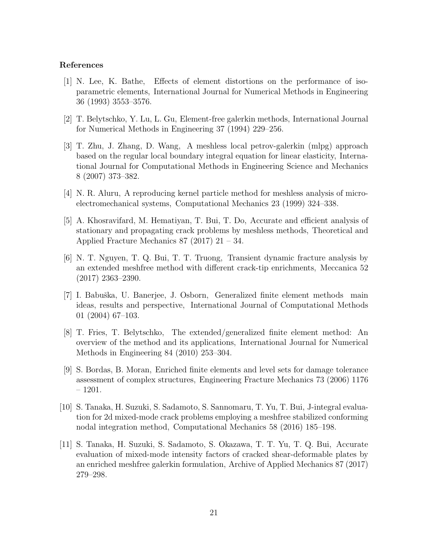## References

- <span id="page-20-0"></span>[1] N. Lee, K. Bathe, Effects of element distortions on the performance of isoparametric elements, International Journal for Numerical Methods in Engineering 36 (1993) 3553–3576.
- <span id="page-20-1"></span>[2] T. Belytschko, Y. Lu, L. Gu, Element-free galerkin methods, International Journal for Numerical Methods in Engineering 37 (1994) 229–256.
- [3] T. Zhu, J. Zhang, D. Wang, A meshless local petrov-galerkin (mlpg) approach based on the regular local boundary integral equation for linear elasticity, International Journal for Computational Methods in Engineering Science and Mechanics 8 (2007) 373–382.
- [4] N. R. Aluru, A reproducing kernel particle method for meshless analysis of microelectromechanical systems, Computational Mechanics 23 (1999) 324–338.
- [5] A. Khosravifard, M. Hematiyan, T. Bui, T. Do, Accurate and efficient analysis of stationary and propagating crack problems by meshless methods, Theoretical and Applied Fracture Mechanics 87 (2017) 21 – 34.
- <span id="page-20-2"></span>[6] N. T. Nguyen, T. Q. Bui, T. T. Truong, Transient dynamic fracture analysis by an extended meshfree method with different crack-tip enrichments, Meccanica 52 (2017) 2363–2390.
- <span id="page-20-3"></span>[7] I. Babuška, U. Banerjee, J. Osborn, Generalized finite element methods main ideas, results and perspective, International Journal of Computational Methods 01 (2004) 67–103.
- [8] T. Fries, T. Belytschko, The extended/generalized finite element method: An overview of the method and its applications, International Journal for Numerical Methods in Engineering 84 (2010) 253–304.
- [9] S. Bordas, B. Moran, Enriched finite elements and level sets for damage tolerance assessment of complex structures, Engineering Fracture Mechanics 73 (2006) 1176 – 1201.
- [10] S. Tanaka, H. Suzuki, S. Sadamoto, S. Sannomaru, T. Yu, T. Bui, J-integral evaluation for 2d mixed-mode crack problems employing a meshfree stabilized conforming nodal integration method, Computational Mechanics 58 (2016) 185–198.
- <span id="page-20-4"></span>[11] S. Tanaka, H. Suzuki, S. Sadamoto, S. Okazawa, T. T. Yu, T. Q. Bui, Accurate evaluation of mixed-mode intensity factors of cracked shear-deformable plates by an enriched meshfree galerkin formulation, Archive of Applied Mechanics 87 (2017) 279–298.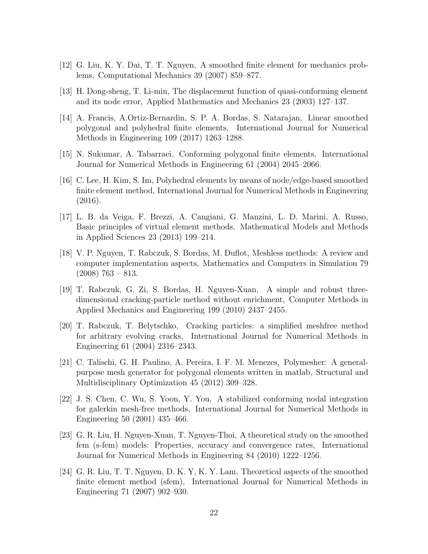- <span id="page-21-0"></span>[12] G. Liu, K. Y. Dai, T. T. Nguyen, A smoothed finite element for mechanics problems, Computational Mechanics 39 (2007) 859–877.
- <span id="page-21-1"></span>[13] H. Dong-sheng, T. Li-min, The displacement function of quasi-conforming element and its node error, Applied Mathematics and Mechanics 23 (2003) 127–137.
- <span id="page-21-2"></span>[14] A. Francis, A.Ortiz-Bernardin, S. P. A. Bordas, S. Natarajan, Linear smoothed polygonal and polyhedral finite elements, International Journal for Numerical Methods in Engineering 109 (2017) 1263–1288.
- [15] N. Sukumar, A. Tabarraei, Conforming polygonal finite elements, International Journal for Numerical Methods in Engineering 61 (2004) 2045–2066.
- [16] C. Lee, H. Kim, S. Im, Polyhedral elements by means of node/edge-based smoothed finite element method, International Journal for Numerical Methods in Engineering (2016).
- <span id="page-21-3"></span>[17] L. B. da Veiga, F. Brezzi, A. Cangiani, G. Manzini, L. D. Marini, A. Russo, Basic principles of virtual element methods, Mathematical Models and Methods in Applied Sciences 23 (2013) 199–214.
- <span id="page-21-4"></span>[18] V. P. Nguyen, T. Rabczuk, S. Bordas, M. Duflot, Meshless methods: A review and computer implementation aspects, Mathematics and Computers in Simulation 79  $(2008)$  763 – 813.
- [19] T. Rabczuk, G. Zi, S. Bordas, H. Nguyen-Xuan, A simple and robust threedimensional cracking-particle method without enrichment, Computer Methods in Applied Mechanics and Engineering 199 (2010) 2437–2455.
- <span id="page-21-5"></span>[20] T. Rabczuk, T. Belytschko, Cracking particles: a simplified meshfree method for arbitrary evolving cracks, International Journal for Numerical Methods in Engineering 61 (2004) 2316–2343.
- <span id="page-21-6"></span>[21] C. Talischi, G. H. Paulino, A. Pereira, I. F. M. Menezes, Polymesher: A generalpurpose mesh generator for polygonal elements written in matlab, Structural and Multidisciplinary Optimization 45 (2012) 309–328.
- <span id="page-21-7"></span>[22] J. S. Chen, C. Wu, S. Yoon, Y. You, A stabilized conforming nodal integration for galerkin mesh-free methods, International Journal for Numerical Methods in Engineering 50 (2001) 435–466.
- <span id="page-21-8"></span>[23] G. R. Liu, H. Nguyen-Xuan, T. Nguyen-Thoi, A theoretical study on the smoothed fem (s-fem) models: Properties, accuracy and convergence rates, International Journal for Numerical Methods in Engineering 84 (2010) 1222–1256.
- <span id="page-21-9"></span>[24] G. R. Liu, T. T. Nguyen, D. K. Y, K. Y. Lam, Theoretical aspects of the smoothed finite element method (sfem), International Journal for Numerical Methods in Engineering 71 (2007) 902–930.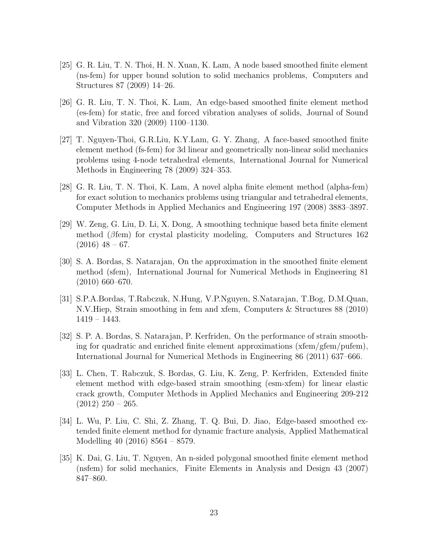- <span id="page-22-0"></span>[25] G. R. Liu, T. N. Thoi, H. N. Xuan, K. Lam, A node based smoothed finite element (ns-fem) for upper bound solution to solid mechanics problems, Computers and Structures 87 (2009) 14–26.
- <span id="page-22-1"></span>[26] G. R. Liu, T. N. Thoi, K. Lam, An edge-based smoothed finite element method (es-fem) for static, free and forced vibration analyses of solids, Journal of Sound and Vibration 320 (2009) 1100–1130.
- <span id="page-22-2"></span>[27] T. Nguyen-Thoi, G.R.Liu, K.Y.Lam, G. Y. Zhang, A face-based smoothed finite element method (fs-fem) for 3d linear and geometrically non-linear solid mechanics problems using 4-node tetrahedral elements, International Journal for Numerical Methods in Engineering 78 (2009) 324–353.
- <span id="page-22-3"></span>[28] G. R. Liu, T. N. Thoi, K. Lam, A novel alpha finite element method (alpha-fem) for exact solution to mechanics problems using triangular and tetrahedral elements, Computer Methods in Applied Mechanics and Engineering 197 (2008) 3883–3897.
- <span id="page-22-4"></span>[29] W. Zeng, G. Liu, D. Li, X. Dong, A smoothing technique based beta finite element method (βfem) for crystal plasticity modeling, Computers and Structures 162  $(2016)$  48 – 67.
- <span id="page-22-5"></span>[30] S. A. Bordas, S. Natarajan, On the approximation in the smoothed finite element method (sfem), International Journal for Numerical Methods in Engineering 81 (2010) 660–670.
- <span id="page-22-6"></span>[31] S.P.A.Bordas, T.Rabczuk, N.Hung, V.P.Nguyen, S.Natarajan, T.Bog, D.M.Quan, N.V.Hiep, Strain smoothing in fem and xfem, Computers & Structures 88 (2010) 1419 – 1443.
- [32] S. P. A. Bordas, S. Natarajan, P. Kerfriden, On the performance of strain smoothing for quadratic and enriched finite element approximations  $(xfem/gfem/pufem)$ , International Journal for Numerical Methods in Engineering 86 (2011) 637–666.
- [33] L. Chen, T. Rabczuk, S. Bordas, G. Liu, K. Zeng, P. Kerfriden, Extended finite element method with edge-based strain smoothing (esm-xfem) for linear elastic crack growth, Computer Methods in Applied Mechanics and Engineering 209-212  $(2012)$  250 – 265.
- <span id="page-22-7"></span>[34] L. Wu, P. Liu, C. Shi, Z. Zhang, T. Q. Bui, D. Jiao, Edge-based smoothed extended finite element method for dynamic fracture analysis, Applied Mathematical Modelling 40 (2016) 8564 – 8579.
- <span id="page-22-8"></span>[35] K. Dai, G. Liu, T. Nguyen, An n-sided polygonal smoothed finite element method (nsfem) for solid mechanics, Finite Elements in Analysis and Design 43 (2007) 847–860.